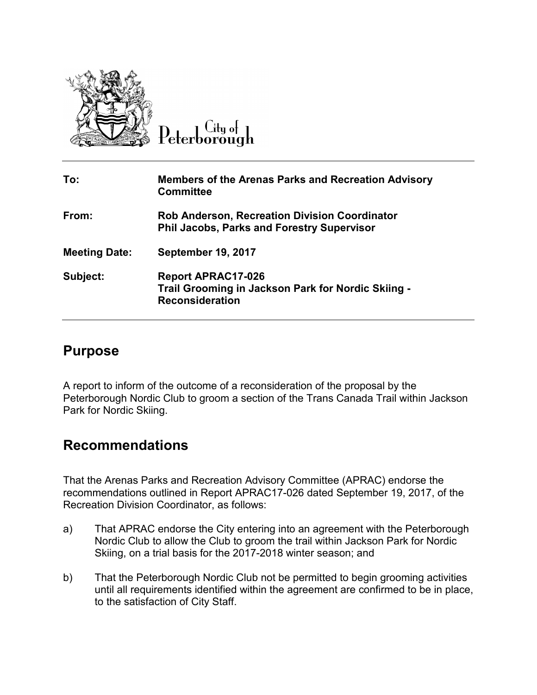

Citu of Peterborough

| To:                  | <b>Members of the Arenas Parks and Recreation Advisory</b><br><b>Committee</b>                            |
|----------------------|-----------------------------------------------------------------------------------------------------------|
| From:                | <b>Rob Anderson, Recreation Division Coordinator</b><br><b>Phil Jacobs, Parks and Forestry Supervisor</b> |
| <b>Meeting Date:</b> | <b>September 19, 2017</b>                                                                                 |
| Subject:             | <b>Report APRAC17-026</b><br>Trail Grooming in Jackson Park for Nordic Skiing -<br><b>Reconsideration</b> |

### **Purpose**

A report to inform of the outcome of a reconsideration of the proposal by the Peterborough Nordic Club to groom a section of the Trans Canada Trail within Jackson Park for Nordic Skiing.

# **Recommendations**

That the Arenas Parks and Recreation Advisory Committee (APRAC) endorse the recommendations outlined in Report APRAC17-026 dated September 19, 2017, of the Recreation Division Coordinator, as follows:

- a) That APRAC endorse the City entering into an agreement with the Peterborough Nordic Club to allow the Club to groom the trail within Jackson Park for Nordic Skiing, on a trial basis for the 2017-2018 winter season; and
- b) That the Peterborough Nordic Club not be permitted to begin grooming activities until all requirements identified within the agreement are confirmed to be in place, to the satisfaction of City Staff.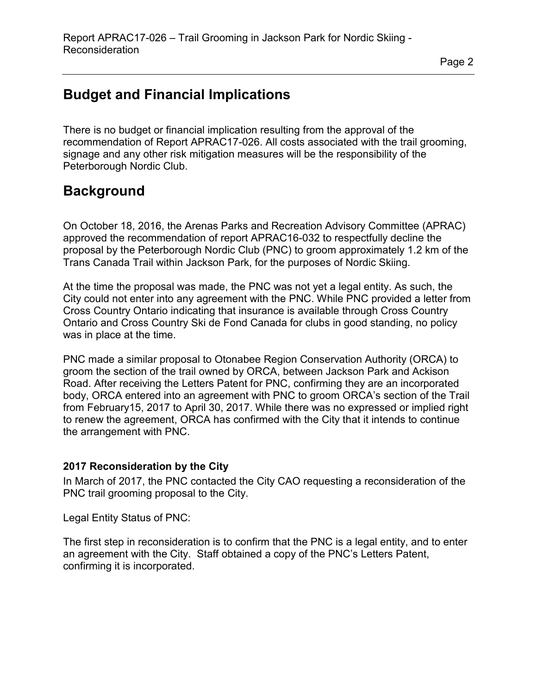# **Budget and Financial Implications**

There is no budget or financial implication resulting from the approval of the recommendation of Report APRAC17-026. All costs associated with the trail grooming, signage and any other risk mitigation measures will be the responsibility of the Peterborough Nordic Club.

## **Background**

On October 18, 2016, the Arenas Parks and Recreation Advisory Committee (APRAC) approved the recommendation of report APRAC16-032 to respectfully decline the proposal by the Peterborough Nordic Club (PNC) to groom approximately 1.2 km of the Trans Canada Trail within Jackson Park, for the purposes of Nordic Skiing.

At the time the proposal was made, the PNC was not yet a legal entity. As such, the City could not enter into any agreement with the PNC. While PNC provided a letter from Cross Country Ontario indicating that insurance is available through Cross Country Ontario and Cross Country Ski de Fond Canada for clubs in good standing, no policy was in place at the time.

PNC made a similar proposal to Otonabee Region Conservation Authority (ORCA) to groom the section of the trail owned by ORCA, between Jackson Park and Ackison Road. After receiving the Letters Patent for PNC, confirming they are an incorporated body, ORCA entered into an agreement with PNC to groom ORCA's section of the Trail from February15, 2017 to April 30, 2017. While there was no expressed or implied right to renew the agreement, ORCA has confirmed with the City that it intends to continue the arrangement with PNC.

### **2017 Reconsideration by the City**

In March of 2017, the PNC contacted the City CAO requesting a reconsideration of the PNC trail grooming proposal to the City.

Legal Entity Status of PNC:

The first step in reconsideration is to confirm that the PNC is a legal entity, and to enter an agreement with the City. Staff obtained a copy of the PNC's Letters Patent, confirming it is incorporated.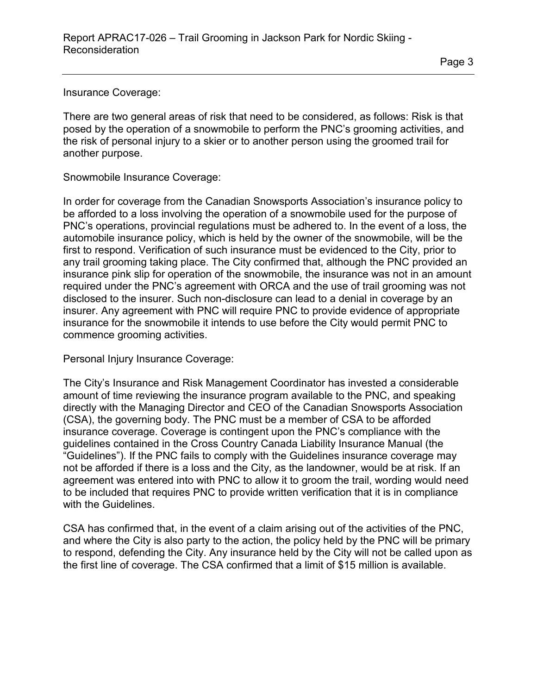Insurance Coverage:

There are two general areas of risk that need to be considered, as follows: Risk is that posed by the operation of a snowmobile to perform the PNC's grooming activities, and the risk of personal injury to a skier or to another person using the groomed trail for another purpose.

Snowmobile Insurance Coverage:

In order for coverage from the Canadian Snowsports Association's insurance policy to be afforded to a loss involving the operation of a snowmobile used for the purpose of PNC's operations, provincial regulations must be adhered to. In the event of a loss, the automobile insurance policy, which is held by the owner of the snowmobile, will be the first to respond. Verification of such insurance must be evidenced to the City, prior to any trail grooming taking place. The City confirmed that, although the PNC provided an insurance pink slip for operation of the snowmobile, the insurance was not in an amount required under the PNC's agreement with ORCA and the use of trail grooming was not disclosed to the insurer. Such non-disclosure can lead to a denial in coverage by an insurer. Any agreement with PNC will require PNC to provide evidence of appropriate insurance for the snowmobile it intends to use before the City would permit PNC to commence grooming activities.

Personal Injury Insurance Coverage:

The City's Insurance and Risk Management Coordinator has invested a considerable amount of time reviewing the insurance program available to the PNC, and speaking directly with the Managing Director and CEO of the Canadian Snowsports Association (CSA), the governing body. The PNC must be a member of CSA to be afforded insurance coverage. Coverage is contingent upon the PNC's compliance with the guidelines contained in the Cross Country Canada Liability Insurance Manual (the "Guidelines"). If the PNC fails to comply with the Guidelines insurance coverage may not be afforded if there is a loss and the City, as the landowner, would be at risk. If an agreement was entered into with PNC to allow it to groom the trail, wording would need to be included that requires PNC to provide written verification that it is in compliance with the Guidelines.

CSA has confirmed that, in the event of a claim arising out of the activities of the PNC, and where the City is also party to the action, the policy held by the PNC will be primary to respond, defending the City. Any insurance held by the City will not be called upon as the first line of coverage. The CSA confirmed that a limit of \$15 million is available.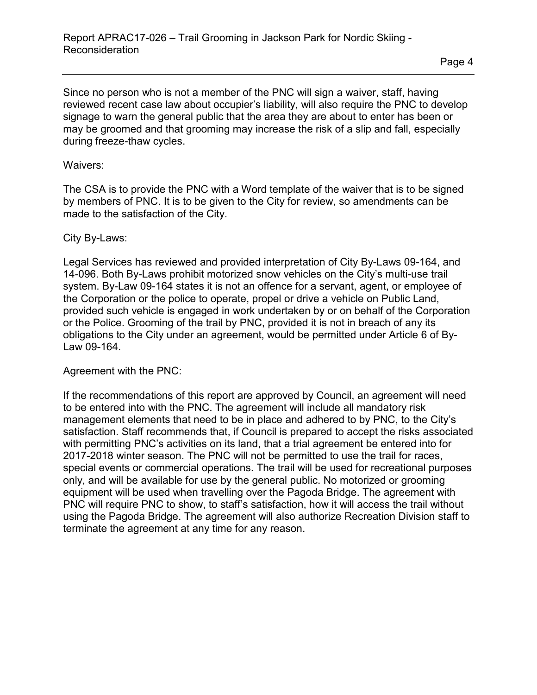Since no person who is not a member of the PNC will sign a waiver, staff, having reviewed recent case law about occupier's liability, will also require the PNC to develop signage to warn the general public that the area they are about to enter has been or may be groomed and that grooming may increase the risk of a slip and fall, especially during freeze-thaw cycles.

#### Waivers:

The CSA is to provide the PNC with a Word template of the waiver that is to be signed by members of PNC. It is to be given to the City for review, so amendments can be made to the satisfaction of the City.

### City By-Laws:

Legal Services has reviewed and provided interpretation of City By-Laws 09-164, and 14-096. Both By-Laws prohibit motorized snow vehicles on the City's multi-use trail system. By-Law 09-164 states it is not an offence for a servant, agent, or employee of the Corporation or the police to operate, propel or drive a vehicle on Public Land, provided such vehicle is engaged in work undertaken by or on behalf of the Corporation or the Police. Grooming of the trail by PNC, provided it is not in breach of any its obligations to the City under an agreement, would be permitted under Article 6 of By-Law 09-164.

#### Agreement with the PNC:

If the recommendations of this report are approved by Council, an agreement will need to be entered into with the PNC. The agreement will include all mandatory risk management elements that need to be in place and adhered to by PNC, to the City's satisfaction. Staff recommends that, if Council is prepared to accept the risks associated with permitting PNC's activities on its land, that a trial agreement be entered into for 2017-2018 winter season. The PNC will not be permitted to use the trail for races, special events or commercial operations. The trail will be used for recreational purposes only, and will be available for use by the general public. No motorized or grooming equipment will be used when travelling over the Pagoda Bridge. The agreement with PNC will require PNC to show, to staff's satisfaction, how it will access the trail without using the Pagoda Bridge. The agreement will also authorize Recreation Division staff to terminate the agreement at any time for any reason.